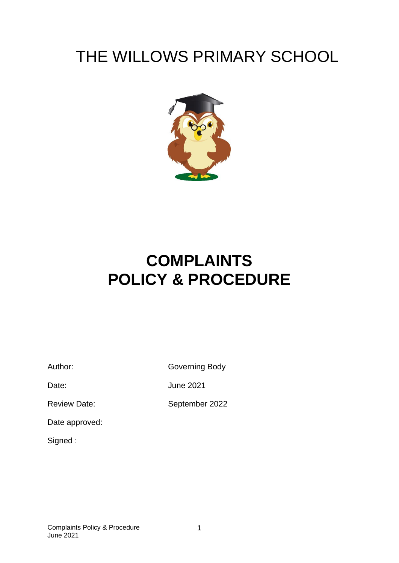# THE WILLOWS PRIMARY SCHOOL



# **COMPLAINTS POLICY & PROCEDURE**

Author: Governing Body

Date: June 2021

Review Date: September 2022

Date approved:

Signed :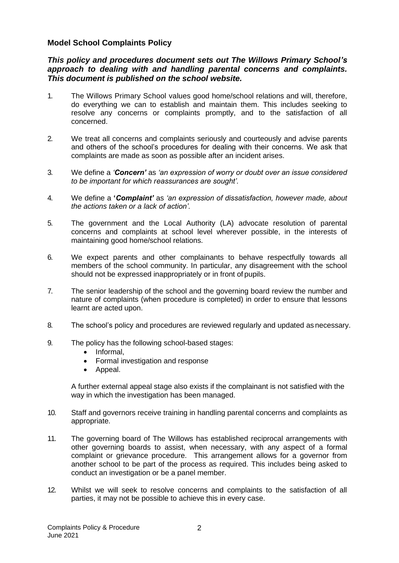#### **Model School Complaints Policy**

*This policy and procedures document sets out The Willows Primary School's approach to dealing with and handling parental concerns and complaints. This document is published on the school website.*

- 1. The Willows Primary School values good home/school relations and will, therefore, do everything we can to establish and maintain them. This includes seeking to resolve any concerns or complaints promptly, and to the satisfaction of all concerned.
- 2. We treat all concerns and complaints seriously and courteously and advise parents and others of the school's procedures for dealing with their concerns. We ask that complaints are made as soon as possible after an incident arises.
- 3. We define a *'Concern'* as *'an expression of worry or doubt over an issue considered to be important for which reassurances are sought'.*
- 4. We define a **'***Complaint'* as *'an expression of dissatisfaction, however made, about the actions taken or a lack of action'.*
- 5. The government and the Local Authority (LA) advocate resolution of parental concerns and complaints at school level wherever possible, in the interests of maintaining good home/school relations.
- 6. We expect parents and other complainants to behave respectfully towards all members of the school community. In particular, any disagreement with the school should not be expressed inappropriately or in front of pupils.
- 7. The senior leadership of the school and the governing board review the number and nature of complaints (when procedure is completed) in order to ensure that lessons learnt are acted upon.
- 8. The school's policy and procedures are reviewed regularly and updated as necessary.
- 9. The policy has the following school-based stages:
	- Informal,
	- Formal investigation and response
	- Appeal.

A further external appeal stage also exists if the complainant is not satisfied with the way in which the investigation has been managed.

- 10. Staff and governors receive training in handling parental concerns and complaints as appropriate.
- 11. The governing board of The Willows has established reciprocal arrangements with other governing boards to assist, when necessary, with any aspect of a formal complaint or grievance procedure. This arrangement allows for a governor from another school to be part of the process as required. This includes being asked to conduct an investigation or be a panel member.
- 12. Whilst we will seek to resolve concerns and complaints to the satisfaction of all parties, it may not be possible to achieve this in every case.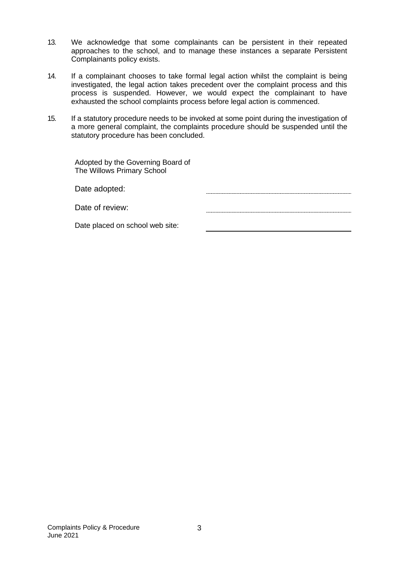- 13. We acknowledge that some complainants can be persistent in their repeated approaches to the school, and to manage these instances a separate Persistent Complainants policy exists.
- 14. If a complainant chooses to take formal legal action whilst the complaint is being investigated, the legal action takes precedent over the complaint process and this process is suspended. However, we would expect the complainant to have exhausted the school complaints process before legal action is commenced.
- 15. If a statutory procedure needs to be invoked at some point during the investigation of a more general complaint, the complaints procedure should be suspended until the statutory procedure has been concluded.

| Adopted by the Governing Board of |  |
|-----------------------------------|--|
| The Willows Primary School        |  |

| Date adopted: |  |
|---------------|--|
|               |  |

Date of review:

Date placed on school web site: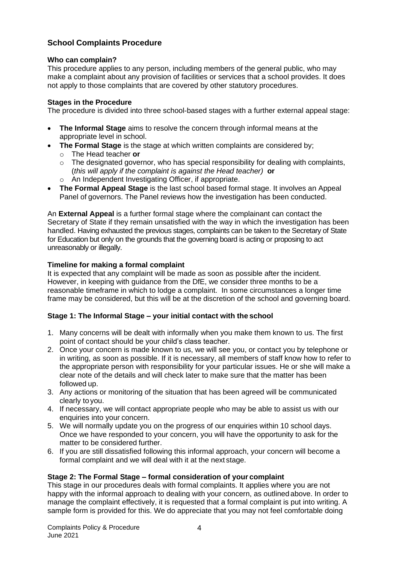## **School Complaints Procedure**

#### **Who can complain?**

This procedure applies to any person, including members of the general public, who may make a complaint about any provision of facilities or services that a school provides. It does not apply to those complaints that are covered by other statutory procedures.

### **Stages in the Procedure**

The procedure is divided into three school-based stages with a further external appeal stage:

- **The Informal Stage** aims to resolve the concern through informal means at the appropriate level in school.
- **The Formal Stage** is the stage at which written complaints are considered by;
	- o The Head teacher **or**
	- $\circ$  The designated governor, who has special responsibility for dealing with complaints, (*this will apply if the complaint is against the Head teacher)* **or**
	- o An Independent Investigating Officer, if appropriate.
- **The Formal Appeal Stage** is the last school based formal stage. It involves an Appeal Panel of governors. The Panel reviews how the investigation has been conducted.

An **External Appeal** is a further formal stage where the complainant can contact the Secretary of State if they remain unsatisfied with the way in which the investigation has been handled. Having exhausted the previous stages, complaints can be taken to the Secretary of State for Education but only on the grounds that the governing board is acting or proposing to act unreasonably or illegally.

### **Timeline for making a formal complaint**

It is expected that any complaint will be made as soon as possible after the incident. However, in keeping with guidance from the DfE, we consider three months to be a reasonable timeframe in which to lodge a complaint. In some circumstances a longer time frame may be considered, but this will be at the discretion of the school and governing board.

#### **Stage 1: The Informal Stage – your initial contact with the school**

- 1. Many concerns will be dealt with informally when you make them known to us. The first point of contact should be your child's class teacher.
- 2. Once your concern is made known to us, we will see you, or contact you by telephone or in writing, as soon as possible. If it is necessary, all members of staff know how to refer to the appropriate person with responsibility for your particular issues. He or she will make a clear note of the details and will check later to make sure that the matter has been followed up.
- 3. Any actions or monitoring of the situation that has been agreed will be communicated clearly to you.
- 4. If necessary, we will contact appropriate people who may be able to assist us with our enquiries into your concern.
- 5. We will normally update you on the progress of our enquiries within 10 school days. Once we have responded to your concern, you will have the opportunity to ask for the matter to be considered further.
- 6. If you are still dissatisfied following this informal approach, your concern will become a formal complaint and we will deal with it at the next stage.

## **Stage 2: The Formal Stage – formal consideration of your complaint**

This stage in our procedures deals with formal complaints. It applies where you are not happy with the informal approach to dealing with your concern, as outlined above. In order to manage the complaint effectively, it is requested that a formal complaint is put into writing. A sample form is provided for this. We do appreciate that you may not feel comfortable doing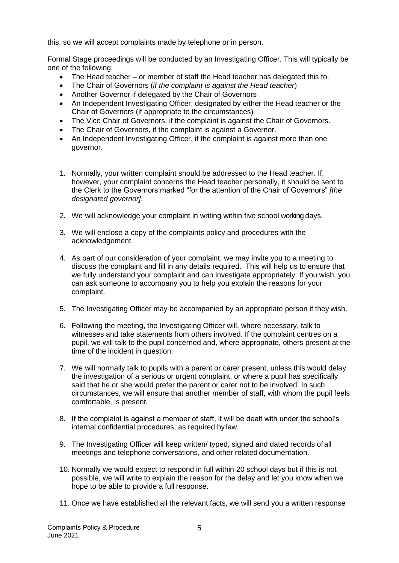this, so we will accept complaints made by telephone or in person.

Formal Stage proceedings will be conducted by an Investigating Officer. This will typically be one of the following:

- The Head teacher or member of staff the Head teacher has delegated this to.
- The Chair of Governors (*if the complaint is against the Head teacher*)
- Another Governor if delegated by the Chair of Governors
- An Independent Investigating Officer, designated by either the Head teacher or the Chair of Governors (if appropriate to the circumstances)
- The Vice Chair of Governors, if the complaint is against the Chair of Governors.
- The Chair of Governors, if the complaint is against a Governor.
- An Independent Investigating Officer, if the complaint is against more than one governor.
- 1. Normally, your written complaint should be addressed to the Head teacher. If, however, your complaint concerns the Head teacher personally, it should be sent to the Clerk to the Governors marked "for the attention of the Chair of Governors" *[the designated governor]*.
- 2. We will acknowledge your complaint in writing within five school working days.
- 3. We will enclose a copy of the complaints policy and procedures with the acknowledgement.
- 4. As part of our consideration of your complaint, we may invite you to a meeting to discuss the complaint and fill in any details required. This will help us to ensure that we fully understand your complaint and can investigate appropriately. If you wish, you can ask someone to accompany you to help you explain the reasons for your complaint.
- 5. The Investigating Officer may be accompanied by an appropriate person if they wish.
- 6. Following the meeting, the Investigating Officer will, where necessary, talk to witnesses and take statements from others involved. If the complaint centres on a pupil, we will talk to the pupil concerned and, where appropriate, others present at the time of the incident in question.
- 7. We will normally talk to pupils with a parent or carer present, unless this would delay the investigation of a serious or urgent complaint, or where a pupil has specifically said that he or she would prefer the parent or carer not to be involved. In such circumstances, we will ensure that another member of staff, with whom the pupil feels comfortable, is present.
- 8. If the complaint is against a member of staff, it will be dealt with under the school's internal confidential procedures, as required by law.
- 9. The Investigating Officer will keep written/ typed, signed and dated records of all meetings and telephone conversations, and other related documentation.
- 10. Normally we would expect to respond in full within 20 school days but if this is not possible, we will write to explain the reason for the delay and let you know when we hope to be able to provide a full response.
- 11. Once we have established all the relevant facts, we will send you a written response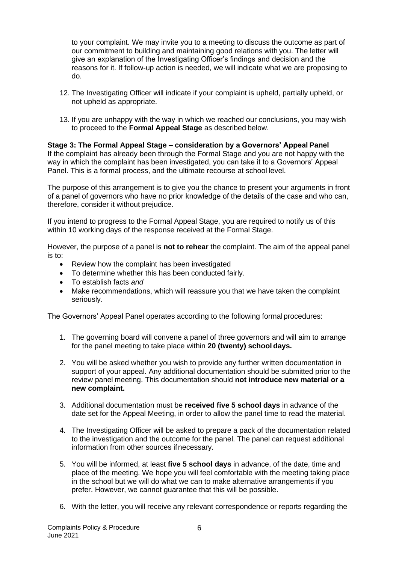to your complaint. We may invite you to a meeting to discuss the outcome as part of our commitment to building and maintaining good relations with you. The letter will give an explanation of the Investigating Officer's findings and decision and the reasons for it. If follow-up action is needed, we will indicate what we are proposing to do.

- 12. The Investigating Officer will indicate if your complaint is upheld, partially upheld, or not upheld as appropriate.
- 13. If you are unhappy with the way in which we reached our conclusions, you may wish to proceed to the **Formal Appeal Stage** as described below.

#### **Stage 3: The Formal Appeal Stage – consideration by a Governors' Appeal Panel** If the complaint has already been through the Formal Stage and you are not happy with the way in which the complaint has been investigated, you can take it to a Governors' Appeal Panel. This is a formal process, and the ultimate recourse at school level.

The purpose of this arrangement is to give you the chance to present your arguments in front of a panel of governors who have no prior knowledge of the details of the case and who can, therefore, consider it without prejudice.

If you intend to progress to the Formal Appeal Stage, you are required to notify us of this within 10 working days of the response received at the Formal Stage.

However, the purpose of a panel is **not to rehear** the complaint. The aim of the appeal panel is to:

- Review how the complaint has been investigated
- To determine whether this has been conducted fairly.
- To establish facts *and*
- Make recommendations, which will reassure you that we have taken the complaint seriously.

The Governors' Appeal Panel operates according to the following formalprocedures:

- 1. The governing board will convene a panel of three governors and will aim to arrange for the panel meeting to take place within **20 (twenty) school days.**
- 2. You will be asked whether you wish to provide any further written documentation in support of your appeal. Any additional documentation should be submitted prior to the review panel meeting. This documentation should **not introduce new material or a new complaint.**
- 3. Additional documentation must be **received five 5 school days** in advance of the date set for the Appeal Meeting, in order to allow the panel time to read the material.
- 4. The Investigating Officer will be asked to prepare a pack of the documentation related to the investigation and the outcome for the panel. The panel can request additional information from other sources ifnecessary.
- 5. You will be informed, at least **five 5 school days** in advance, of the date, time and place of the meeting. We hope you will feel comfortable with the meeting taking place in the school but we will do what we can to make alternative arrangements if you prefer. However, we cannot guarantee that this will be possible.
- 6. With the letter, you will receive any relevant correspondence or reports regarding the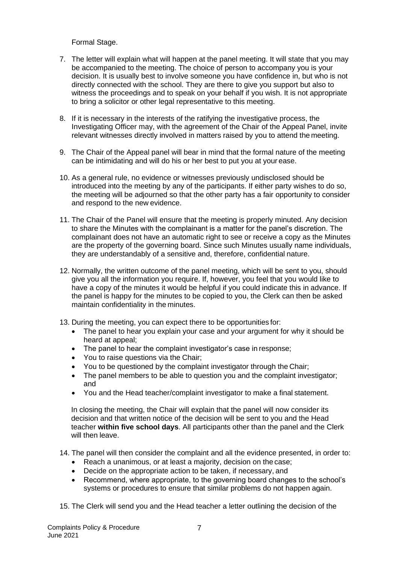Formal Stage.

- 7. The letter will explain what will happen at the panel meeting. It will state that you may be accompanied to the meeting. The choice of person to accompany you is your decision. It is usually best to involve someone you have confidence in, but who is not directly connected with the school. They are there to give you support but also to witness the proceedings and to speak on your behalf if you wish. It is not appropriate to bring a solicitor or other legal representative to this meeting.
- 8. If it is necessary in the interests of the ratifying the investigative process, the Investigating Officer may, with the agreement of the Chair of the Appeal Panel, invite relevant witnesses directly involved in matters raised by you to attend the meeting.
- 9. The Chair of the Appeal panel will bear in mind that the formal nature of the meeting can be intimidating and will do his or her best to put you at your ease.
- 10. As a general rule, no evidence or witnesses previously undisclosed should be introduced into the meeting by any of the participants. If either party wishes to do so, the meeting will be adjourned so that the other party has a fair opportunity to consider and respond to the new evidence.
- 11. The Chair of the Panel will ensure that the meeting is properly minuted. Any decision to share the Minutes with the complainant is a matter for the panel's discretion. The complainant does not have an automatic right to see or receive a copy as the Minutes are the property of the governing board. Since such Minutes usually name individuals, they are understandably of a sensitive and, therefore, confidential nature.
- 12. Normally, the written outcome of the panel meeting, which will be sent to you, should give you all the information you require. If, however, you feel that you would like to have a copy of the minutes it would be helpful if you could indicate this in advance. If the panel is happy for the minutes to be copied to you, the Clerk can then be asked maintain confidentiality in the minutes.
- 13. During the meeting, you can expect there to be opportunities for:
	- The panel to hear you explain your case and your argument for why it should be heard at appeal;
	- The panel to hear the complaint investigator's case in response:
	- You to raise questions via the Chair;
	- You to be questioned by the complaint investigator through the Chair;
	- The panel members to be able to question you and the complaint investigator; and
	- You and the Head teacher/complaint investigator to make a final statement.

In closing the meeting, the Chair will explain that the panel will now consider its decision and that written notice of the decision will be sent to you and the Head teacher **within five school days**. All participants other than the panel and the Clerk will then leave.

14. The panel will then consider the complaint and all the evidence presented, in order to:

- Reach a unanimous, or at least a majority, decision on the case;
- Decide on the appropriate action to be taken, if necessary, and
- Recommend, where appropriate, to the governing board changes to the school's systems or procedures to ensure that similar problems do not happen again.
- 15. The Clerk will send you and the Head teacher a letter outlining the decision of the